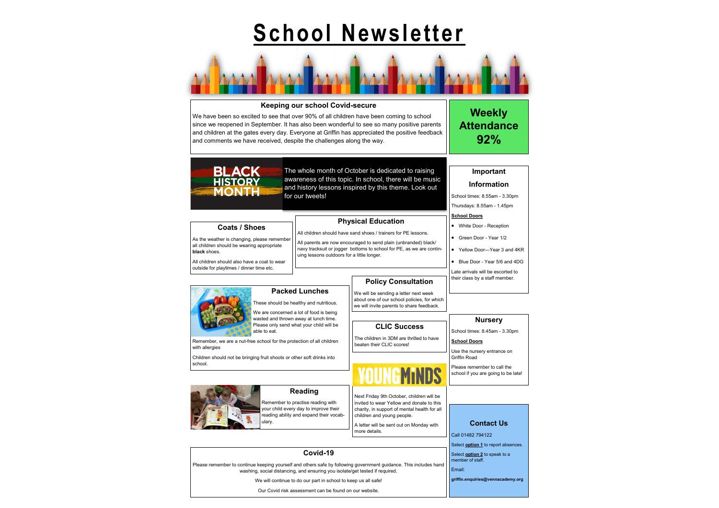# **School Newsletter**



# **Keeping our school Covid-secure**

We have been so excited to see that over 90% of all children have been coming to school since we reopened in September. It has also been wonderful to see so many positive parents and children at the gates every day. Everyone at Griffin has appreciated the positive feedback and comments we have received, despite the challenges along the way.

> • Blue Door - Year 5/6 and 4DG Late arrivals will be escorted to their class by a staff member.

The whole month of October is dedicated to raising awareness of this topic. In school, there will be music and history lessons inspired by this theme. Look out

for our tweets!



# **Information**

School times: 8.55am - 3.30pm Thursdays: 8.55am - 1.45pm

**School Doors**

• White Door - Reception • Green Door - Year 1/2

• Yellow Door—Year 3 and 4KR

**Weekly Attendance 92%**

**Nursery** School times: 8.45am - 3.30pm

**School Doors**

Use the nursery entrance on Griffin Road

Please remember to call the school if you are going to be late!

## **Contact Us**

Call 01482 794122

Select **option 1** to report absences.

Select **option 2** to speak to a

member of staff.

Email:

**griffin.enquiries@vennacademy.org**

# **CLIC Success**

able to eat Remember, we are a nut-free school for the protection of all children

The children in 3DM are thrilled to have beaten their CLIC scores!

# **Covid-19**

Please remember to continue keeping yourself and others safe by following government guidance. This includes hand washing, social distancing, and ensuring you isolate/get tested if required.

We will continue to do our part in school to keep us all safe!

Our Covid risk assessment can be found on our website.

# **Physical Education**

All children should have sand shoes / trainers for PE lessons.

All parents are now encouraged to send plain (unbranded) black/ navy tracksuit or jogger bottoms to school for PE, as we are contin-

uing lessons outdoors for a little longer.

**Policy Consultation**

We will be sending a letter next week about one of our school policies, for which we will invite parents to share feedback.

**Coats / Shoes** As the weather is changing, please remember all children should be wearing appropriate

**BLACK HISTORY** MONTH

**black** shoes.

with allergies

All children should also have a coat to wear outside for playtimes / dinner time etc.

**Packed Lunches**

These should be healthy and nutritious. We are concerned a lot of food is being wasted and thrown away at lunch time. Please only send what your child will be

Children should not be bringing fruit shoots or other soft drinks into

school.

Next Friday 9th October, children will be invited to wear Yellow and donate to this charity, in support of mental health for all children and young people.

A letter will be sent out on Monday with more details.

**Reading** Remember to practise reading with your child every day to improve their reading ability and expand their vocab-

ulary.